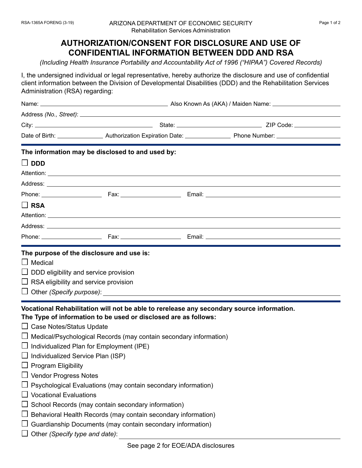## **AUTHORIZATION/CONSENT FOR DISCLOSURE AND USE OF CONFIDENTIAL INFORMATION BETWEEN DDD AND RSA**

*(Including Health Insurance Portability and Accountability Act of 1996 ("HIPAA") Covered Records)* 

I, the undersigned individual or legal representative, hereby authorize the disclosure and use of confidential client information between the Division of Developmental Disabilities (DDD) and the Rehabilitation Services Administration (RSA) regarding:

| Vocational Rehabilitation will not be able to rerelease any secondary source information.                                                                                                                                                                                                                                                                                                                                                                                      |
|--------------------------------------------------------------------------------------------------------------------------------------------------------------------------------------------------------------------------------------------------------------------------------------------------------------------------------------------------------------------------------------------------------------------------------------------------------------------------------|
| The information may be disclosed to and used by:<br>The purpose of the disclosure and use is:<br>$\Box$ DDD eligibility and service provision<br>$\Box$ RSA eligibility and service provision<br>The Type of information to be used or disclosed are as follows:<br>$\Box$ Case Notes/Status Update<br>$\Box$ Medical/Psychological Records (may contain secondary information)<br>$\Box$ Individualized Plan for Employment (IPE)<br>$\Box$ Individualized Service Plan (ISP) |